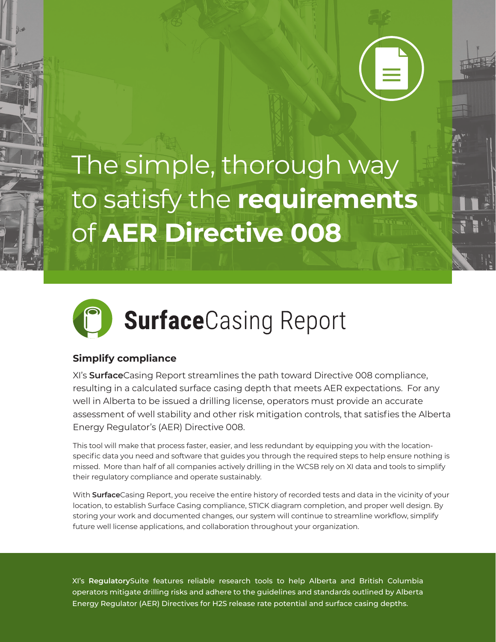The simple, thorough way to satisfy the **requirements**  of **AER Directive 008**



## **Simplify compliance**

XI's **Surface**Casing Report streamlines the path toward Directive 008 compliance, resulting in a calculated surface casing depth that meets AER expectations. For any well in Alberta to be issued a drilling license, operators must provide an accurate assessment of well stability and other risk mitigation controls, that satisfies the Alberta Energy Regulator's (AER) Directive 008.

This tool will make that process faster, easier, and less redundant by equipping you with the locationspecific data you need and software that guides you through the required steps to help ensure nothing is missed. More than half of all companies actively drilling in the WCSB rely on XI data and tools to simplify their regulatory compliance and operate sustainably.

With **Surface**Casing Report, you receive the entire history of recorded tests and data in the vicinity of your location, to establish Surface Casing compliance, STICK diagram completion, and proper well design. By storing your work and documented changes, our system will continue to streamline workflow, simplify future well license applications, and collaboration throughout your organization.

XI's **Regulatory**Suite features reliable research tools to help Alberta and British Columbia operators mitigate drilling risks and adhere to the guidelines and standards outlined by Alberta Energy Regulator (AER) Directives for H2S release rate potential and surface casing depths.